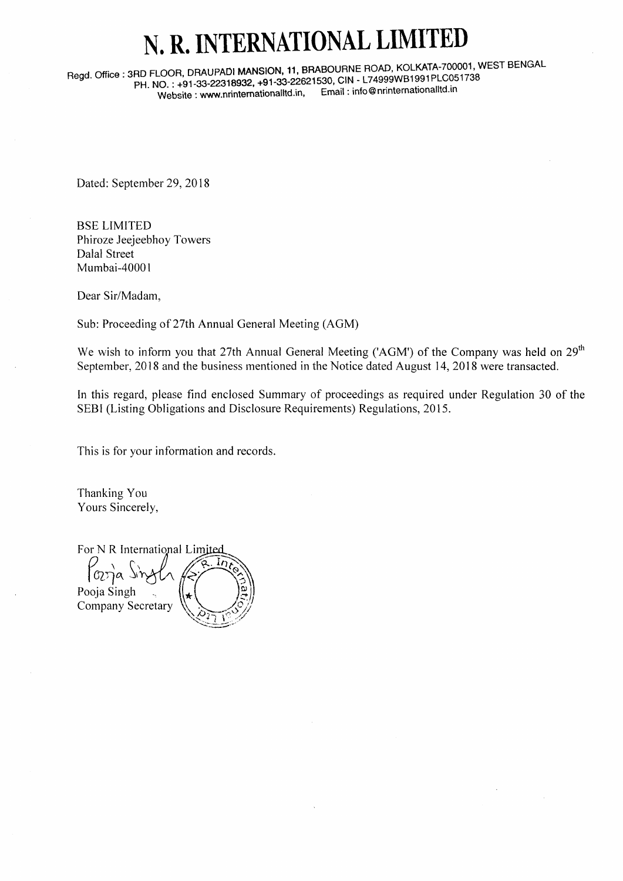## N. R. INTERNATIONAL LIMITE

Regd. Office: 3RD FLOOR, DRAUPADI MANSION, 11, BRABOURNE ROAD, KOLKATA-700001, WEST BENGAL pH. NO. : +91-33-22318932, +91-33-22621530, CIN - L74999WB1991PLC051738<br>Website: www.printernationalitd.in. Email : info@nrinternationalitd.in Website : www.nrinternationalltd.in,

Dated: September 29, 2018

BSE LIMITED Phiroze Jeejeebhoy Towers Dalal Street Mumbai-40001

Dear Sir/Madam,

Sub: Proceeding of 27th Annual General Meeting (AGM)

We wish to inform you that 27th Annual General Meeting ('AGM') of the Company was held on  $29<sup>th</sup>$ September, 2018 and the business mentioned in the Notice dated August 14, 2018 were transacted.

In this regard, please find enclosed Summary of proceedings as required under Regulation 30 of the SEBI (Listing Obligations and Disclosure Requirements) Regulations, 2015.

This is for your information and records.

Thanking You Yours Sincerely,

For N R International Limited<br>  $\begin{bmatrix} 0 & \sqrt{16} & \sqrt{16} & \sqrt{16} \\ 0 & \sqrt{16} & \sqrt{16} & \sqrt{16} \\ \sqrt{16} & \sqrt{16} & \sqrt{16} & \sqrt{16} \\ \sqrt{16} & \sqrt{16} & \sqrt{16} & \sqrt{16} \\ \sqrt{16} & \sqrt{16} & \sqrt{16} & \sqrt{16} \\ \sqrt{16} & \sqrt{16} & \sqrt{16} & \sqrt{16} \\ \sqrt{16} & \sqrt{16} & \sqrt{16} & \sqrt$ Paria Sizyli Pooja Singh Company Secretary  $\sqrt[3]{\frac{1}{2}}$